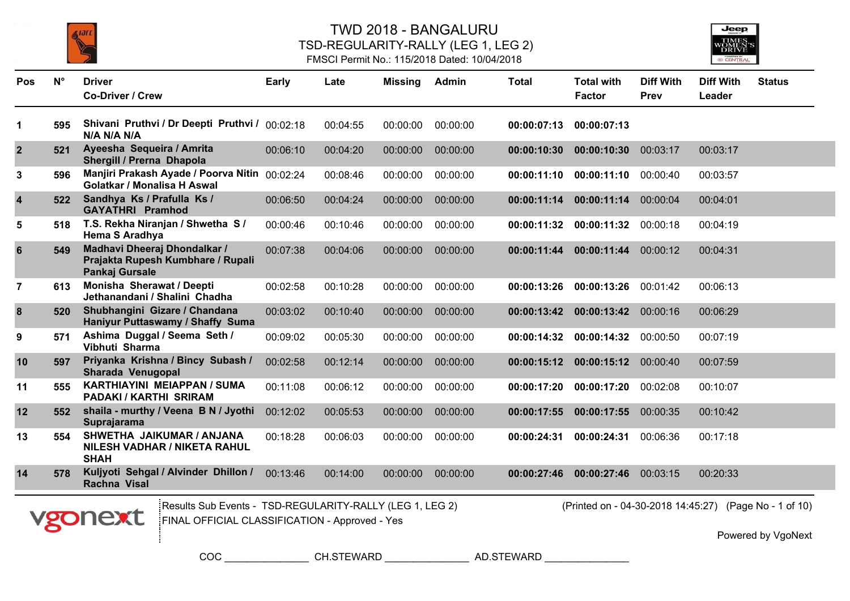



| <b>Pos</b>       | $N^{\circ}$ | <b>Driver</b><br><b>Co-Driver / Crew</b>                                                                              | <b>Early</b> | Late     | Missing  | Admin    | <b>Total</b> | <b>Total with</b><br><b>Factor</b>                     | <b>Diff With</b><br>Prev | <b>Diff With</b><br>Leader | <b>Status</b> |
|------------------|-------------|-----------------------------------------------------------------------------------------------------------------------|--------------|----------|----------|----------|--------------|--------------------------------------------------------|--------------------------|----------------------------|---------------|
| 1                | 595         | Shivani Pruthvi / Dr Deepti Pruthvi / 00:02:18<br>N/A N/A N/A                                                         |              | 00:04:55 | 00:00:00 | 00:00:00 | 00:00:07:13  | 00:00:07:13                                            |                          |                            |               |
| $\mathbf{2}$     | 521         | Ayeesha Sequeira / Amrita<br>Shergill / Prerna Dhapola                                                                | 00:06:10     | 00:04:20 | 00:00:00 | 00:00:00 | 00:00:10:30  | 00:00:10:30                                            | 00:03:17                 | 00:03:17                   |               |
| 3                | 596         | Manjiri Prakash Ayade / Poorva Nitin 00:02:24<br>Golatkar / Monalisa H Aswal                                          |              | 00:08:46 | 00:00:00 | 00:00:00 | 00:00:11:10  | 00:00:11:10                                            | 00:00:40                 | 00:03:57                   |               |
| 4                | 522         | Sandhya Ks / Prafulla Ks /<br><b>GAYATHRI Pramhod</b>                                                                 | 00:06:50     | 00:04:24 | 00:00:00 | 00:00:00 | 00:00:11:14  | 00:00:11:14                                            | 00:00:04                 | 00:04:01                   |               |
| 5                | 518         | T.S. Rekha Niranjan / Shwetha S /<br>Hema S Aradhya                                                                   | 00:00:46     | 00:10:46 | 00:00:00 | 00:00:00 | 00:00:11:32  | 00:00:11:32                                            | 00:00:18                 | 00:04:19                   |               |
| 6                | 549         | Madhavi Dheeraj Dhondalkar /<br>Prajakta Rupesh Kumbhare / Rupali<br>Pankaj Gursale                                   | 00:07:38     | 00:04:06 | 00:00:00 | 00:00:00 | 00:00:11:44  | 00:00:11:44                                            | 00:00:12                 | 00:04:31                   |               |
| $\overline{7}$   | 613         | Monisha Sherawat / Deepti<br>Jethanandani / Shalini Chadha                                                            | 00:02:58     | 00:10:28 | 00:00:00 | 00:00:00 | 00:00:13:26  | 00:00:13:26                                            | 00:01:42                 | 00:06:13                   |               |
| $\boldsymbol{8}$ | 520         | Shubhangini Gizare / Chandana<br>Haniyur Puttaswamy / Shaffy Suma                                                     | 00:03:02     | 00:10:40 | 00:00:00 | 00:00:00 | 00:00:13:42  | 00:00:13:42                                            | 00:00:16                 | 00:06:29                   |               |
| 9                | 571         | Ashima Duggal / Seema Seth /<br>Vibhuti Sharma                                                                        | 00:09:02     | 00:05:30 | 00:00:00 | 00:00:00 | 00:00:14:32  | 00:00:14:32                                            | 00:00:50                 | 00:07:19                   |               |
| 10               | 597         | Priyanka Krishna / Bincy Subash /<br>Sharada Venugopal                                                                | 00:02:58     | 00:12:14 | 00:00:00 | 00:00:00 | 00:00:15:12  | 00:00:15:12                                            | 00:00:40                 | 00:07:59                   |               |
| 11               | 555         | <b>KARTHIAYINI MEIAPPAN / SUMA</b><br>PADAKI / KARTHI SRIRAM                                                          | 00:11:08     | 00:06:12 | 00:00:00 | 00:00:00 | 00:00:17:20  | 00:00:17:20                                            | 00:02:08                 | 00:10:07                   |               |
| 12               | 552         | shaila - murthy / Veena B N / Jyothi<br>Suprajarama                                                                   | 00:12:02     | 00:05:53 | 00:00:00 | 00:00:00 | 00:00:17:55  | 00:00:17:55                                            | 00:00:35                 | 00:10:42                   |               |
| 13               | 554         | SHWETHA JAIKUMAR / ANJANA<br><b>NILESH VADHAR / NIKETA RAHUL</b><br><b>SHAH</b>                                       | 00:18:28     | 00:06:03 | 00:00:00 | 00:00:00 | 00:00:24:31  | 00:00:24:31                                            | 00:06:36                 | 00:17:18                   |               |
| 14               | 578         | Kuljyoti Sehgal / Alvinder Dhillon /<br>Rachna Visal                                                                  | 00:13:46     | 00:14:00 | 00:00:00 | 00:00:00 | 00:00:27:46  | 00:00:27:46                                            | 00:03:15                 | 00:20:33                   |               |
|                  |             | Results Sub Events - TSD-REGULARITY-RALLY (LEG 1, LEG 2)<br>vgonext<br>FINAL OFFICIAL CLASSIFICATION - Approved - Yes |              |          |          |          |              | (Printed on - 04-30-2018 14:45:27) (Page No - 1 of 10) |                          |                            |               |

Powered by VgoNext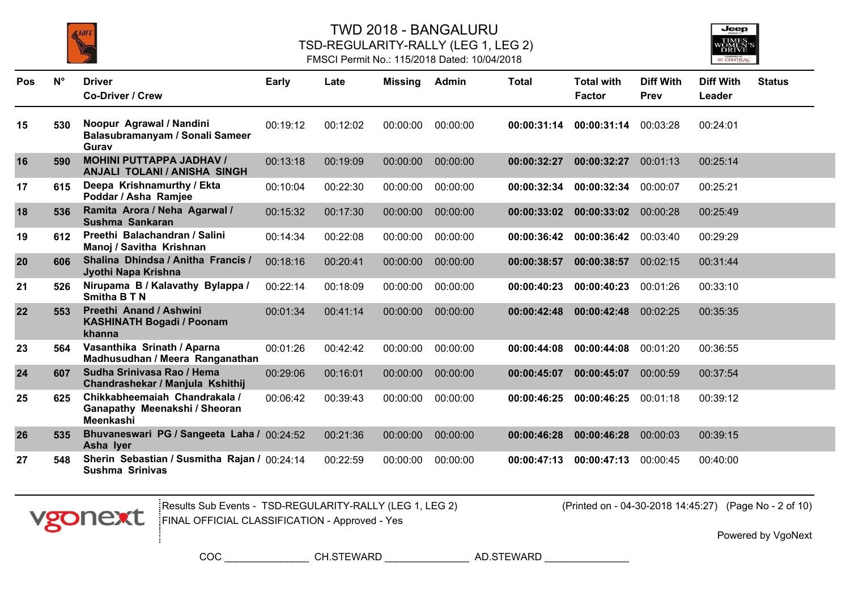





| <b>Pos</b> | $N^{\circ}$ | <b>Driver</b><br>Co-Driver / Crew                                           | Early    | Late     | <b>Missing</b> | Admin    | <b>Total</b> | <b>Total with</b><br><b>Factor</b> | <b>Diff With</b><br>Prev | <b>Diff With</b><br>Leader | <b>Status</b> |
|------------|-------------|-----------------------------------------------------------------------------|----------|----------|----------------|----------|--------------|------------------------------------|--------------------------|----------------------------|---------------|
| 15         | 530         | Noopur Agrawal / Nandini<br>Balasubramanyam / Sonali Sameer<br>Gurav        | 00:19:12 | 00:12:02 | 00:00:00       | 00:00:00 | 00:00:31:14  | 00:00:31:14                        | 00:03:28                 | 00:24:01                   |               |
| 16         | 590         | <b>MOHINI PUTTAPPA JADHAV /</b><br><b>ANJALI TOLANI / ANISHA SINGH</b>      | 00:13:18 | 00:19:09 | 00:00:00       | 00:00:00 | 00:00:32:27  | 00:00:32:27                        | 00:01:13                 | 00:25:14                   |               |
| 17         | 615         | Deepa Krishnamurthy / Ekta<br>Poddar / Asha Ramjee                          | 00:10:04 | 00:22:30 | 00:00:00       | 00:00:00 | 00:00:32:34  | 00:00:32:34                        | 00:00:07                 | 00:25:21                   |               |
| 18         | 536         | Ramita Arora / Neha Agarwal /<br>Sushma Sankaran                            | 00:15:32 | 00:17:30 | 00:00:00       | 00:00:00 | 00:00:33:02  | 00:00:33:02                        | 00:00:28                 | 00:25:49                   |               |
| 19         | 612         | Preethi Balachandran / Salini<br>Manoj / Savitha Krishnan                   | 00:14:34 | 00:22:08 | 00:00:00       | 00:00:00 | 00:00:36:42  | 00:00:36:42                        | 00:03:40                 | 00:29:29                   |               |
| 20         | 606         | Shalina Dhindsa / Anitha Francis /<br>Jyothi Napa Krishna                   | 00:18:16 | 00:20:41 | 00:00:00       | 00:00:00 | 00:00:38:57  | 00:00:38:57                        | 00:02:15                 | 00:31:44                   |               |
| 21         | 526         | Nirupama B / Kalavathy Bylappa /<br>Smitha B T N                            | 00:22:14 | 00:18:09 | 00:00:00       | 00:00:00 | 00:00:40:23  | 00:00:40:23                        | 00:01:26                 | 00:33:10                   |               |
| 22         | 553         | Preethi Anand / Ashwini<br><b>KASHINATH Bogadi / Poonam</b><br>khanna       | 00:01:34 | 00:41:14 | 00:00:00       | 00:00:00 | 00:00:42:48  | 00:00:42:48                        | 00:02:25                 | 00:35:35                   |               |
| 23         | 564         | Vasanthika Srinath / Aparna<br>Madhusudhan / Meera Ranganathan              | 00:01:26 | 00:42:42 | 00:00:00       | 00:00:00 | 00:00:44:08  | 00:00:44:08                        | 00:01:20                 | 00:36:55                   |               |
| 24         | 607         | Sudha Srinivasa Rao / Hema<br>Chandrashekar / Manjula Kshithij              | 00:29:06 | 00:16:01 | 00:00:00       | 00:00:00 | 00:00:45:07  | 00:00:45:07                        | 00:00:59                 | 00:37:54                   |               |
| 25         | 625         | Chikkabheemaiah Chandrakala /<br>Ganapathy Meenakshi / Sheoran<br>Meenkashi | 00:06:42 | 00:39:43 | 00:00:00       | 00:00:00 | 00:00:46:25  | 00:00:46:25                        | 00:01:18                 | 00:39:12                   |               |
| 26         | 535         | Bhuvaneswari PG / Sangeeta Laha / 00:24:52<br>Asha Iyer                     |          | 00:21:36 | 00:00:00       | 00:00:00 | 00:00:46:28  | 00:00:46:28                        | 00:00:03                 | 00:39:15                   |               |
| 27         | 548         | Sherin Sebastian / Susmitha Rajan / 00:24:14<br><b>Sushma Srinivas</b>      |          | 00:22:59 | 00:00:00       | 00:00:00 | 00:00:47:13  | 00:00:47:13                        | 00:00:45                 | 00:40:00                   |               |



Results Sub Events - TSD-REGULARITY-RALLY (LEG 1, LEG 2) (Printed on - 04-30-2018 14:45:27) FINAL OFFICIAL CLASSIFICATION - Approved - Yes

(Printed on - 04-30-2018 14:45:27) (Page No - 2 of 10)

Powered by VgoNext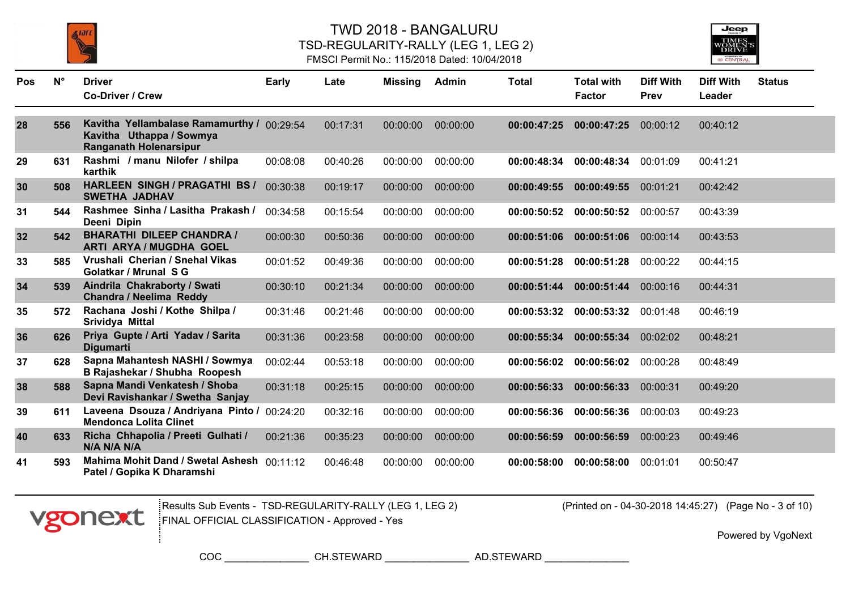



#### FMSCI Permit No.: 115/2018 Dated: 10/04/2018

| Pos | $N^{\circ}$ | <b>Driver</b>                                                                                           | <b>Early</b> | Late     | Missing  | Admin    | <b>Total</b> | <b>Total with</b> | <b>Diff With</b> | <b>Diff With</b> | <b>Status</b> |
|-----|-------------|---------------------------------------------------------------------------------------------------------|--------------|----------|----------|----------|--------------|-------------------|------------------|------------------|---------------|
|     |             | <b>Co-Driver / Crew</b>                                                                                 |              |          |          |          |              | <b>Factor</b>     | Prev             | Leader           |               |
| 28  | 556         | Kavitha Yellambalase Ramamurthy / 00:29:54<br>Kavitha Uthappa / Sowmya<br><b>Ranganath Holenarsipur</b> |              | 00:17:31 | 00:00:00 | 00:00:00 | 00:00:47:25  | 00:00:47:25       | 00:00:12         | 00:40:12         |               |
| 29  | 631         | Rashmi / manu Nilofer / shilpa<br>karthik                                                               | 00:08:08     | 00:40:26 | 00:00:00 | 00:00:00 | 00:00:48:34  | 00:00:48:34       | 00:01:09         | 00:41:21         |               |
| 30  | 508         | HARLEEN SINGH / PRAGATHI BS /<br><b>SWETHA JADHAV</b>                                                   | 00:30:38     | 00:19:17 | 00:00:00 | 00:00:00 | 00:00:49:55  | 00:00:49:55       | 00:01:21         | 00:42:42         |               |
| 31  | 544         | Rashmee Sinha / Lasitha Prakash /<br>Deeni Dipin                                                        | 00:34:58     | 00:15:54 | 00:00:00 | 00:00:00 | 00:00:50:52  | 00:00:50:52       | 00:00:57         | 00:43:39         |               |
| 32  | 542         | <b>BHARATHI DILEEP CHANDRA /</b><br><b>ARTI ARYA / MUGDHA GOEL</b>                                      | 00:00:30     | 00:50:36 | 00:00:00 | 00:00:00 | 00:00:51:06  | 00:00:51:06       | 00:00:14         | 00:43:53         |               |
| 33  | 585         | Vrushali Cherian / Snehal Vikas<br>Golatkar / Mrunal S G                                                | 00:01:52     | 00:49:36 | 00:00:00 | 00:00:00 | 00:00:51:28  | 00:00:51:28       | 00:00:22         | 00:44:15         |               |
| 34  | 539         | Aindrila Chakraborty / Swati<br>Chandra / Neelima Reddy                                                 | 00:30:10     | 00:21:34 | 00:00:00 | 00:00:00 | 00:00:51:44  | 00:00:51:44       | 00:00:16         | 00:44:31         |               |
| 35  | 572         | Rachana Joshi / Kothe Shilpa /<br>Srividya Mittal                                                       | 00:31:46     | 00:21:46 | 00:00:00 | 00:00:00 | 00:00:53:32  | 00:00:53:32       | 00:01:48         | 00:46:19         |               |
| 36  | 626         | Priya Gupte / Arti Yadav / Sarita<br>Digumarti                                                          | 00:31:36     | 00:23:58 | 00:00:00 | 00:00:00 | 00:00:55:34  | 00:00:55:34       | 00:02:02         | 00:48:21         |               |
| 37  | 628         | Sapna Mahantesh NASHI / Sowmya<br>B Rajashekar / Shubha Roopesh                                         | 00:02:44     | 00:53:18 | 00:00:00 | 00:00:00 | 00:00:56:02  | 00:00:56:02       | 00:00:28         | 00:48:49         |               |
| 38  | 588         | Sapna Mandi Venkatesh / Shoba<br>Devi Ravishankar / Swetha Sanjay                                       | 00:31:18     | 00:25:15 | 00:00:00 | 00:00:00 | 00:00:56:33  | 00:00:56:33       | 00:00:31         | 00:49:20         |               |
| 39  | 611         | Laveena Dsouza / Andriyana Pinto /<br><b>Mendonca Lolita Clinet</b>                                     | 00:24:20     | 00:32:16 | 00:00:00 | 00:00:00 | 00:00:56:36  | 00:00:56:36       | 00:00:03         | 00:49:23         |               |
| 40  | 633         | Richa Chhapolia / Preeti Gulhati /<br>N/A N/A N/A                                                       | 00:21:36     | 00:35:23 | 00:00:00 | 00:00:00 | 00:00:56:59  | 00:00:56:59       | 00:00:23         | 00:49:46         |               |
| 41  | 593         | Mahima Mohit Dand / Swetal Ashesh 00:11:12<br>Patel / Gopika K Dharamshi                                |              | 00:46:48 | 00:00:00 | 00:00:00 | 00:00:58:00  | 00:00:58:00       | 00:01:01         | 00:50:47         |               |



Results Sub Events - TSD-REGULARITY-RALLY (LEG 1, LEG 2) (Printed on - 04-30-2018 14:45:27) FINAL OFFICIAL CLASSIFICATION - Approved - Yes

(Printed on - 04-30-2018 14:45:27) (Page No - 3 of 10)

Powered by VgoNext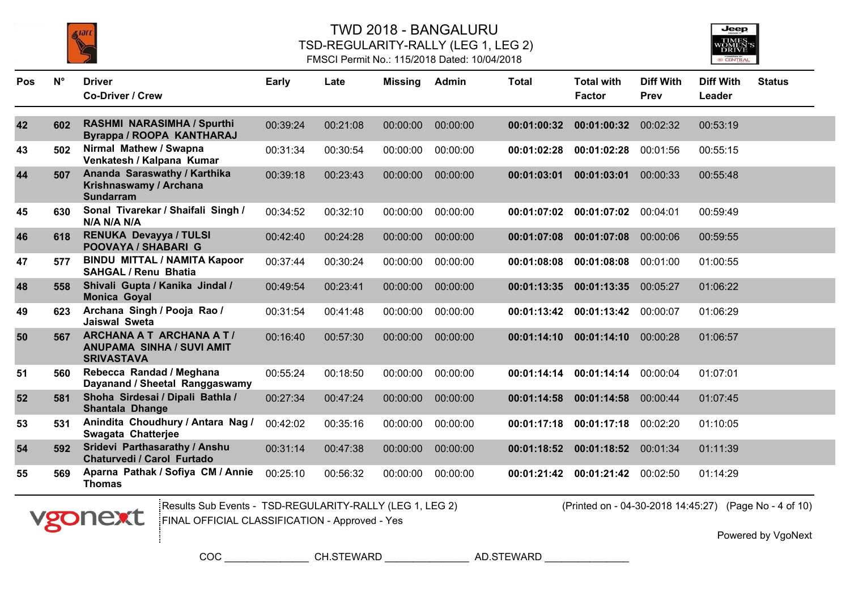

Pos N° Driver

### TWD 2018 - BANGALURU TSD-REGULARITY-RALLY (LEG 1, LEG 2) FMSCI Permit No.: 115/2018 Dated: 10/04/2018

**N° Early Late Missing Admin Total Diff With**



**Total with**

**Diff With Status**

|    |     | <b>Co-Driver / Crew</b>                                                                  |          |          |          |          |             | <b>Factor</b> | <b>Prev</b> | Leader   |
|----|-----|------------------------------------------------------------------------------------------|----------|----------|----------|----------|-------------|---------------|-------------|----------|
| 42 | 602 | <b>RASHMI NARASIMHA / Spurthi</b><br>Byrappa / ROOPA KANTHARAJ                           | 00:39:24 | 00:21:08 | 00:00:00 | 00:00:00 | 00:01:00:32 | 00:01:00:32   | 00:02:32    | 00:53:19 |
| 43 | 502 | Nirmal Mathew / Swapna<br>Venkatesh / Kalpana Kumar                                      | 00:31:34 | 00:30:54 | 00:00:00 | 00:00:00 | 00:01:02:28 | 00:01:02:28   | 00:01:56    | 00:55:15 |
| 44 | 507 | Ananda Saraswathy / Karthika<br>Krishnaswamy / Archana<br><b>Sundarram</b>               | 00:39:18 | 00:23:43 | 00:00:00 | 00:00:00 | 00:01:03:01 | 00:01:03:01   | 00:00:33    | 00:55:48 |
| 45 | 630 | Sonal Tivarekar / Shaifali Singh /<br>N/A N/A N/A                                        | 00:34:52 | 00:32:10 | 00:00:00 | 00:00:00 | 00:01:07:02 | 00:01:07:02   | 00:04:01    | 00:59:49 |
| 46 | 618 | RENUKA Devayya / TULSI<br><b>POOVAYA / SHABARI G</b>                                     | 00:42:40 | 00:24:28 | 00:00:00 | 00:00:00 | 00:01:07:08 | 00:01:07:08   | 00:00:06    | 00:59:55 |
| 47 | 577 | <b>BINDU MITTAL / NAMITA Kapoor</b><br><b>SAHGAL / Renu Bhatia</b>                       | 00:37:44 | 00:30:24 | 00:00:00 | 00:00:00 | 00:01:08:08 | 00:01:08:08   | 00:01:00    | 01:00:55 |
| 48 | 558 | Shivali Gupta / Kanika Jindal /<br><b>Monica Goyal</b>                                   | 00:49:54 | 00:23:41 | 00:00:00 | 00:00:00 | 00:01:13:35 | 00:01:13:35   | 00:05:27    | 01:06:22 |
| 49 | 623 | Archana Singh / Pooja Rao /<br><b>Jaiswal Sweta</b>                                      | 00:31:54 | 00:41:48 | 00:00:00 | 00:00:00 | 00:01:13:42 | 00:01:13:42   | 00:00:07    | 01:06:29 |
| 50 | 567 | <b>ARCHANA A T ARCHANA A T/</b><br><b>ANUPAMA SINHA / SUVI AMIT</b><br><b>SRIVASTAVA</b> | 00:16:40 | 00:57:30 | 00:00:00 | 00:00:00 | 00:01:14:10 | 00:01:14:10   | 00:00:28    | 01:06:57 |
| 51 | 560 | Rebecca Randad / Meghana<br>Dayanand / Sheetal Ranggaswamy                               | 00:55:24 | 00:18:50 | 00:00:00 | 00:00:00 | 00:01:14:14 | 00:01:14:14   | 00:00:04    | 01:07:01 |
| 52 | 581 | Shoha Sirdesai / Dipali Bathla /<br>Shantala Dhange                                      | 00:27:34 | 00:47:24 | 00:00:00 | 00:00:00 | 00:01:14:58 | 00:01:14:58   | 00:00:44    | 01:07:45 |
| 53 | 531 | Anindita Choudhury / Antara Nag /<br>Swagata Chatterjee                                  | 00:42:02 | 00:35:16 | 00:00:00 | 00:00:00 | 00:01:17:18 | 00:01:17:18   | 00:02:20    | 01:10:05 |
| 54 | 592 | Sridevi Parthasarathy / Anshu<br>Chaturvedi / Carol Furtado                              | 00:31:14 | 00:47:38 | 00:00:00 | 00:00:00 | 00:01:18:52 | 00:01:18:52   | 00:01:34    | 01:11:39 |
| 55 | 569 | Aparna Pathak / Sofiya CM / Annie<br><b>Thomas</b>                                       | 00:25:10 | 00:56:32 | 00:00:00 | 00:00:00 | 00:01:21:42 | 00:01:21:42   | 00:02:50    | 01:14:29 |



Results Sub Events - TSD-REGULARITY-RALLY (LEG 1, LEG 2) (Printed on - 04-30-2018 14:45:27) FINAL OFFICIAL CLASSIFICATION - Approved - Yes

(Printed on - 04-30-2018 14:45:27) (Page No - 4 of 10)

Powered by VgoNext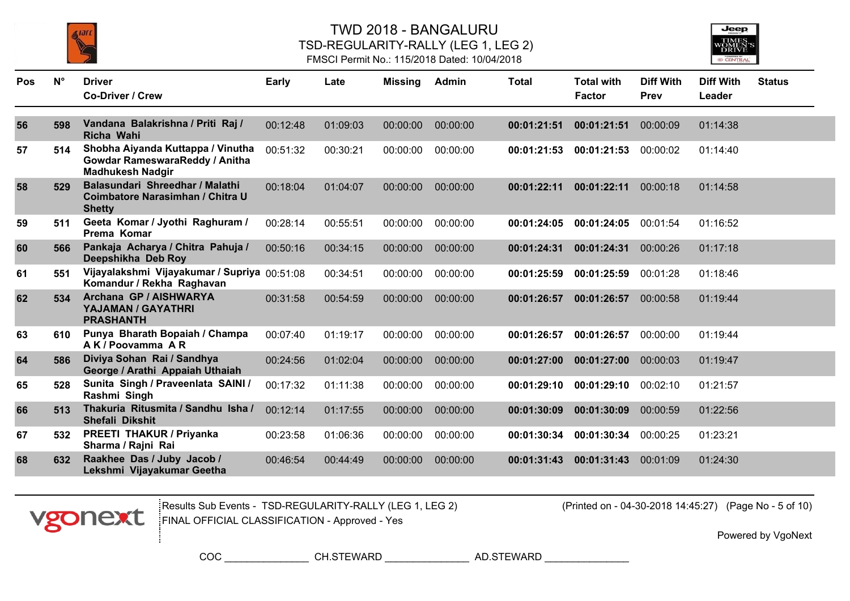

### TWD 2018 - BANGALURU TSD-REGULARITY-RALLY (LEG 1, LEG 2) FMSCI Permit No.: 115/2018 Dated: 10/04/2018



| <b>Pos</b> | $N^{\circ}$ | <b>Driver</b><br><b>Co-Driver / Crew</b>                                                       | Early    | Late     | <b>Missing</b> | Admin    | <b>Total</b> | <b>Total with</b><br><b>Factor</b> | <b>Diff With</b><br>Prev | <b>Diff With</b><br>Leader | <b>Status</b> |
|------------|-------------|------------------------------------------------------------------------------------------------|----------|----------|----------------|----------|--------------|------------------------------------|--------------------------|----------------------------|---------------|
| 56         | 598         | Vandana Balakrishna / Priti Raj /<br>Richa Wahi                                                | 00:12:48 | 01:09:03 | 00:00:00       | 00:00:00 | 00:01:21:51  | 00:01:21:51                        | 00:00:09                 | 01:14:38                   |               |
| 57         | 514         | Shobha Aiyanda Kuttappa / Vinutha<br>Gowdar RameswaraReddy / Anitha<br><b>Madhukesh Nadgir</b> | 00:51:32 | 00:30:21 | 00:00:00       | 00:00:00 | 00:01:21:53  | 00:01:21:53                        | 00:00:02                 | 01:14:40                   |               |
| 58         | 529         | Balasundari Shreedhar / Malathi<br>Coimbatore Narasimhan / Chitra U<br><b>Shetty</b>           | 00:18:04 | 01:04:07 | 00:00:00       | 00:00:00 | 00:01:22:11  | 00:01:22:11                        | 00:00:18                 | 01:14:58                   |               |
| 59         | 511         | Geeta Komar / Jyothi Raghuram /<br>Prema Komar                                                 | 00:28:14 | 00:55:51 | 00:00:00       | 00:00:00 | 00:01:24:05  | 00:01:24:05                        | 00:01:54                 | 01:16:52                   |               |
| 60         | 566         | Pankaja Acharya / Chitra Pahuja /<br>Deepshikha Deb Roy                                        | 00:50:16 | 00:34:15 | 00:00:00       | 00:00:00 | 00:01:24:31  | 00:01:24:31                        | 00:00:26                 | 01:17:18                   |               |
| 61         | 551         | Vijayalakshmi Vijayakumar / Supriya 00:51:08<br>Komandur / Rekha Raghavan                      |          | 00:34:51 | 00:00:00       | 00:00:00 | 00:01:25:59  | 00:01:25:59                        | 00:01:28                 | 01:18:46                   |               |
| 62         | 534         | Archana GP / AISHWARYA<br>YAJAMAN / GAYATHRI<br><b>PRASHANTH</b>                               | 00:31:58 | 00:54:59 | 00:00:00       | 00:00:00 | 00:01:26:57  | 00:01:26:57                        | 00:00:58                 | 01:19:44                   |               |
| 63         | 610         | Punya Bharath Bopaiah / Champa<br>AK/Poovamma AR                                               | 00:07:40 | 01:19:17 | 00:00:00       | 00:00:00 | 00:01:26:57  | 00:01:26:57                        | 00:00:00                 | 01:19:44                   |               |
| 64         | 586         | Diviya Sohan Rai / Sandhya<br>George / Arathi Appaiah Uthaiah                                  | 00:24:56 | 01:02:04 | 00:00:00       | 00:00:00 | 00:01:27:00  | 00:01:27:00                        | 00:00:03                 | 01:19:47                   |               |
| 65         | 528         | Sunita Singh / Praveenlata SAINI /<br>Rashmi Singh                                             | 00:17:32 | 01:11:38 | 00:00:00       | 00:00:00 | 00:01:29:10  | 00:01:29:10                        | 00:02:10                 | 01:21:57                   |               |
| 66         | 513         | Thakuria Ritusmita / Sandhu Isha /<br>Shefali Dikshit                                          | 00:12:14 | 01:17:55 | 00:00:00       | 00:00:00 | 00:01:30:09  | 00:01:30:09                        | 00:00:59                 | 01:22:56                   |               |
| 67         | 532         | <b>PREETI THAKUR / Priyanka</b><br>Sharma / Rajni Rai                                          | 00:23:58 | 01:06:36 | 00:00:00       | 00:00:00 | 00:01:30:34  | 00:01:30:34                        | 00:00:25                 | 01:23:21                   |               |
| 68         | 632         | Raakhee Das / Juby Jacob /<br>Lekshmi Vijayakumar Geetha                                       | 00:46:54 | 00:44:49 | 00:00:00       | 00:00:00 | 00:01:31:43  | 00:01:31:43                        | 00:01:09                 | 01:24:30                   |               |



Results Sub Events - TSD-REGULARITY-RALLY (LEG 1, LEG 2) (Printed on - 04-30-2018 14:45:27) FINAL OFFICIAL CLASSIFICATION - Approved - Yes

(Printed on - 04-30-2018 14:45:27) (Page No - 5 of 10)

Powered by VgoNext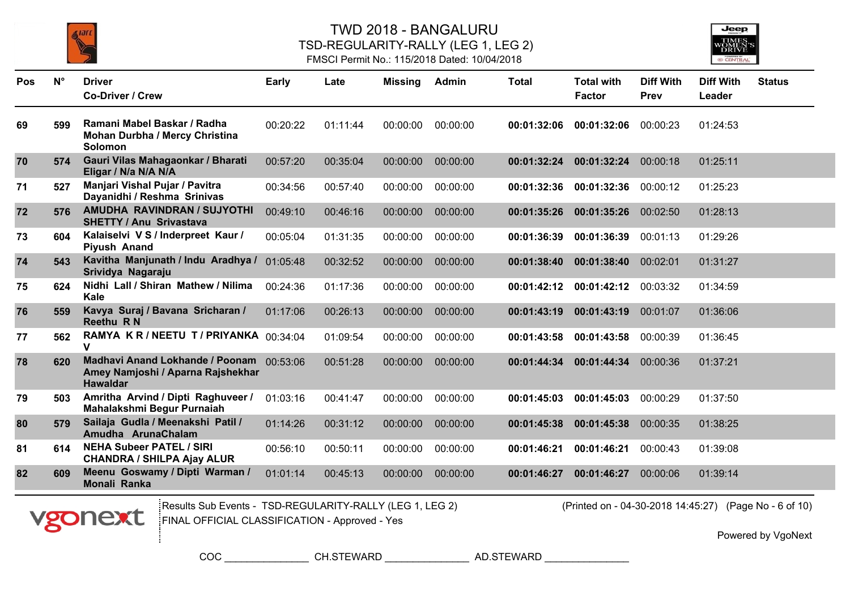



#### FMSCI Permit No.: 115/2018 Dated: 10/04/2018

| Pos | $N^{\circ}$ | <b>Driver</b>                                                                                    | <b>Early</b> | Late     | <b>Missing</b> | Admin    | <b>Total</b> | <b>Total with</b> | <b>Diff With</b> | <b>Diff With</b> | <b>Status</b> |
|-----|-------------|--------------------------------------------------------------------------------------------------|--------------|----------|----------------|----------|--------------|-------------------|------------------|------------------|---------------|
|     |             | <b>Co-Driver / Crew</b>                                                                          |              |          |                |          |              | <b>Factor</b>     | Prev             | Leader           |               |
| 69  | 599         | Ramani Mabel Baskar / Radha<br><b>Mohan Durbha / Mercy Christina</b><br><b>Solomon</b>           | 00:20:22     | 01:11:44 | 00:00:00       | 00:00:00 | 00:01:32:06  | 00:01:32:06       | 00:00:23         | 01:24:53         |               |
| 70  | 574         | Gauri Vilas Mahagaonkar / Bharati<br>Eligar / N/a N/A N/A                                        | 00:57:20     | 00:35:04 | 00:00:00       | 00:00:00 | 00:01:32:24  | 00:01:32:24       | 00:00:18         | 01:25:11         |               |
| 71  | 527         | Manjari Vishal Pujar / Pavitra<br>Dayanidhi / Reshma Srinivas                                    | 00:34:56     | 00:57:40 | 00:00:00       | 00:00:00 | 00:01:32:36  | 00:01:32:36       | 00:00:12         | 01:25:23         |               |
| 72  | 576         | AMUDHA RAVINDRAN / SUJYOTHI<br><b>SHETTY / Anu Srivastava</b>                                    | 00:49:10     | 00:46:16 | 00:00:00       | 00:00:00 | 00:01:35:26  | 00:01:35:26       | 00:02:50         | 01:28:13         |               |
| 73  | 604         | Kalaiselvi V S / Inderpreet Kaur /<br>Piyush Anand                                               | 00:05:04     | 01:31:35 | 00:00:00       | 00:00:00 | 00:01:36:39  | 00:01:36:39       | 00:01:13         | 01:29:26         |               |
| 74  | 543         | Kavitha Manjunath / Indu Aradhya /<br>Srividya Nagaraju                                          | 01:05:48     | 00:32:52 | 00:00:00       | 00:00:00 | 00:01:38:40  | 00:01:38:40       | 00:02:01         | 01:31:27         |               |
| 75  | 624         | Nidhi Lall / Shiran Mathew / Nilima<br><b>Kale</b>                                               | 00:24:36     | 01:17:36 | 00:00:00       | 00:00:00 | 00:01:42:12  | 00:01:42:12       | 00:03:32         | 01:34:59         |               |
| 76  | 559         | Kavya Suraj / Bavana Sricharan /<br><b>Reethu RN</b>                                             | 01:17:06     | 00:26:13 | 00:00:00       | 00:00:00 | 00:01:43:19  | 00:01:43:19       | 00:01:07         | 01:36:06         |               |
| 77  | 562         | RAMYA KR/NEETU T/PRIYANKA 00:34:04<br>v                                                          |              | 01:09:54 | 00:00:00       | 00:00:00 | 00:01:43:58  | 00:01:43:58       | 00:00:39         | 01:36:45         |               |
| 78  | 620         | Madhavi Anand Lokhande / Poonam 00:53:06<br>Amey Namjoshi / Aparna Rajshekhar<br><b>Hawaldar</b> |              | 00:51:28 | 00:00:00       | 00:00:00 | 00:01:44:34  | 00:01:44:34       | 00:00:36         | 01:37:21         |               |
| 79  | 503         | Amritha Arvind / Dipti Raghuveer /<br>Mahalakshmi Begur Purnaiah                                 | 01:03:16     | 00:41:47 | 00:00:00       | 00:00:00 | 00:01:45:03  | 00:01:45:03       | 00:00:29         | 01:37:50         |               |
| 80  | 579         | Sailaja Gudla / Meenakshi Patil /<br>Amudha ArunaChalam                                          | 01:14:26     | 00:31:12 | 00:00:00       | 00:00:00 | 00:01:45:38  | 00:01:45:38       | 00:00:35         | 01:38:25         |               |
| 81  | 614         | <b>NEHA Subeer PATEL / SIRI</b><br><b>CHANDRA / SHILPA Ajay ALUR</b>                             | 00:56:10     | 00:50:11 | 00:00:00       | 00:00:00 | 00:01:46:21  | 00:01:46:21       | 00:00:43         | 01:39:08         |               |
| 82  | 609         | Meenu Goswamy / Dipti Warman /<br>Monali Ranka                                                   | 01:01:14     | 00:45:13 | 00:00:00       | 00:00:00 | 00:01:46:27  | 00:01:46:27       | 00:00:06         | 01:39:14         |               |



Results Sub Events - TSD-REGULARITY-RALLY (LEG 1, LEG 2) (Printed on - 04-30-2018 14:45:27) FINAL OFFICIAL CLASSIFICATION - Approved - Yes

(Printed on - 04-30-2018 14:45:27) (Page No - 6 of 10)

Powered by VgoNext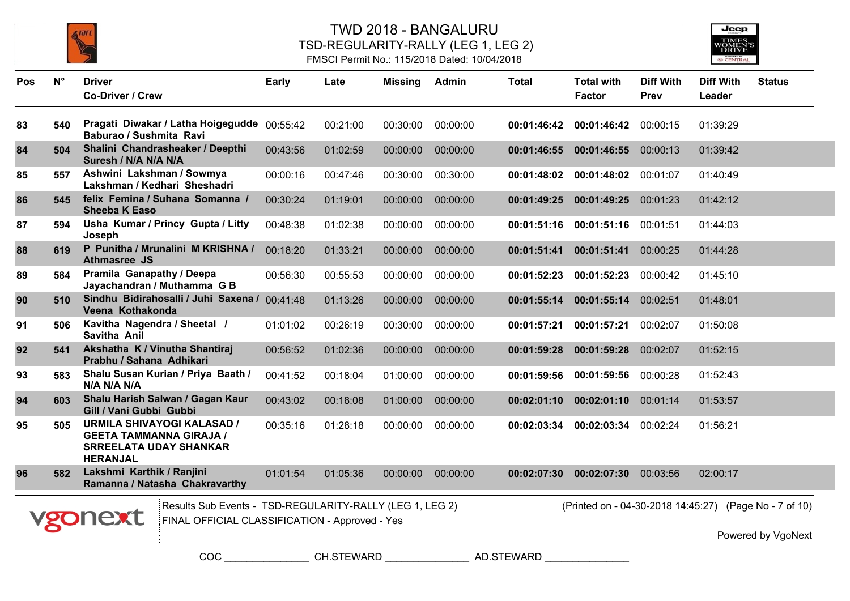



### FMSCI Permit No.: 115/2018 Dated: 10/04/2018

| Pos | $N^{\circ}$ | <b>Driver</b><br><b>Co-Driver / Crew</b>                                                                                | <b>Early</b> | Late     | <b>Missing</b> | Admin    | <b>Total</b> | <b>Total with</b><br><b>Factor</b>                     | <b>Diff With</b><br>Prev | <b>Diff With</b><br>Leader | <b>Status</b>      |
|-----|-------------|-------------------------------------------------------------------------------------------------------------------------|--------------|----------|----------------|----------|--------------|--------------------------------------------------------|--------------------------|----------------------------|--------------------|
| 83  | 540         | Pragati Diwakar / Latha Hoigegudde<br>Baburao / Sushmita Ravi                                                           | 00:55:42     | 00:21:00 | 00:30:00       | 00:00:00 | 00:01:46:42  | 00:01:46:42                                            | 00:00:15                 | 01:39:29                   |                    |
| 84  | 504         | Shalini Chandrasheaker / Deepthi<br>Suresh / N/A N/A N/A                                                                | 00:43:56     | 01:02:59 | 00:00:00       | 00:00:00 | 00:01:46:55  | 00:01:46:55                                            | 00:00:13                 | 01:39:42                   |                    |
| 85  | 557         | Ashwini Lakshman / Sowmya<br>Lakshman / Kedhari Sheshadri                                                               | 00:00:16     | 00:47:46 | 00:30:00       | 00:30:00 | 00:01:48:02  | 00:01:48:02                                            | 00:01:07                 | 01:40:49                   |                    |
| 86  | 545         | felix Femina / Suhana Somanna /<br><b>Sheeba K Easo</b>                                                                 | 00:30:24     | 01:19:01 | 00:00:00       | 00:00:00 | 00:01:49:25  | 00:01:49:25                                            | 00:01:23                 | 01:42:12                   |                    |
| 87  | 594         | Usha Kumar / Princy Gupta / Litty<br>Joseph                                                                             | 00:48:38     | 01:02:38 | 00:00:00       | 00:00:00 | 00:01:51:16  | 00:01:51:16                                            | 00:01:51                 | 01:44:03                   |                    |
| 88  | 619         | P Punitha / Mrunalini M KRISHNA /<br><b>Athmasree JS</b>                                                                | 00:18:20     | 01:33:21 | 00:00:00       | 00:00:00 | 00:01:51:41  | 00:01:51:41                                            | 00:00:25                 | 01:44:28                   |                    |
| 89  | 584         | Pramila Ganapathy / Deepa<br>Jayachandran / Muthamma G B                                                                | 00:56:30     | 00:55:53 | 00:00:00       | 00:00:00 | 00:01:52:23  | 00:01:52:23                                            | 00:00:42                 | 01:45:10                   |                    |
| 90  | 510         | Sindhu Bidirahosalli / Juhi Saxena /<br>Veena Kothakonda                                                                | 00:41:48     | 01:13:26 | 00:00:00       | 00:00:00 | 00:01:55:14  | 00:01:55:14                                            | 00:02:51                 | 01:48:01                   |                    |
| 91  | 506         | Kavitha Nagendra / Sheetal /<br>Savitha Anil                                                                            | 01:01:02     | 00:26:19 | 00:30:00       | 00:00:00 | 00:01:57:21  | 00:01:57:21                                            | 00:02:07                 | 01:50:08                   |                    |
| 92  | 541         | Akshatha K / Vinutha Shantiraj<br>Prabhu / Sahana Adhikari                                                              | 00:56:52     | 01:02:36 | 00:00:00       | 00:00:00 | 00:01:59:28  | 00:01:59:28                                            | 00:02:07                 | 01:52:15                   |                    |
| 93  | 583         | Shalu Susan Kurian / Priya Baath /<br>N/A N/A N/A                                                                       | 00:41:52     | 00:18:04 | 01:00:00       | 00:00:00 | 00:01:59:56  | 00:01:59:56                                            | 00:00:28                 | 01:52:43                   |                    |
| 94  | 603         | Shalu Harish Salwan / Gagan Kaur<br>Gill / Vani Gubbi Gubbi                                                             | 00:43:02     | 00:18:08 | 01:00:00       | 00:00:00 | 00:02:01:10  | 00:02:01:10                                            | 00:01:14                 | 01:53:57                   |                    |
| 95  | 505         | <b>URMILA SHIVAYOGI KALASAD /</b><br><b>GEETA TAMMANNA GIRAJA /</b><br><b>SRREELATA UDAY SHANKAR</b><br><b>HERANJAL</b> | 00:35:16     | 01:28:18 | 00:00:00       | 00:00:00 | 00:02:03:34  | 00:02:03:34                                            | 00:02:24                 | 01:56:21                   |                    |
| 96  | 582         | Lakshmi Karthik / Ranjini<br>Ramanna / Natasha Chakravarthy                                                             | 01:01:54     | 01:05:36 | 00:00:00       | 00:00:00 | 00:02:07:30  | 00:02:07:30                                            | 00:03:56                 | 02:00:17                   |                    |
|     |             | Results Sub Events - TSD-REGULARITY-RALLY (LEG 1, LEG 2)<br>vgonext<br>FINAL OFFICIAL CLASSIFICATION - Approved - Yes   |              |          |                |          |              | (Printed on - 04-30-2018 14:45:27) (Page No - 7 of 10) |                          |                            | Powered by VgoNext |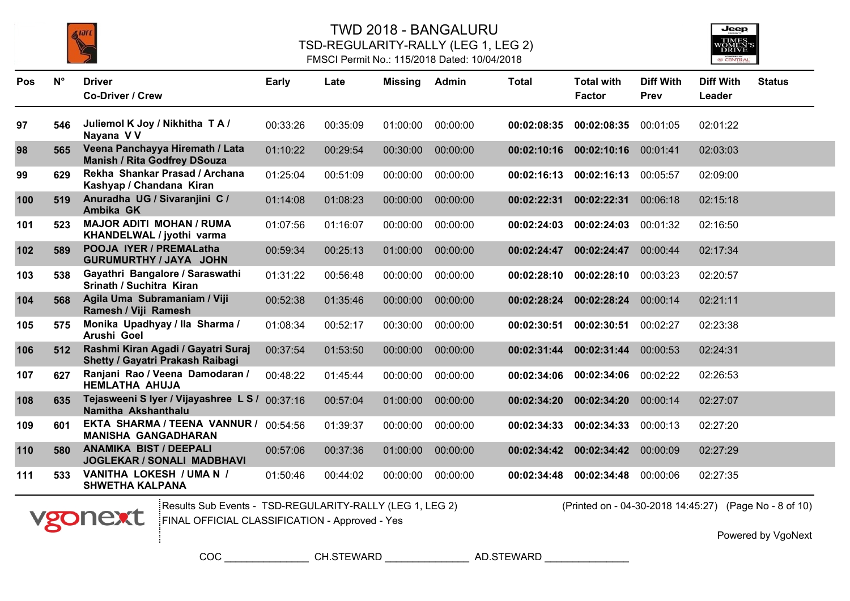

### TWD 2018 - BANGALURU TSD-REGULARITY-RALLY (LEG 1, LEG 2) FMSCI Permit No.: 115/2018 Dated: 10/04/2018



| Pos | $N^{\circ}$ | <b>Driver</b><br><b>Co-Driver / Crew</b>                               | <b>Early</b> | Late     | <b>Missing</b> | Admin    | <b>Total</b> | <b>Total with</b><br><b>Factor</b> | <b>Diff With</b><br><b>Prev</b> | <b>Diff With</b><br>Leader | <b>Status</b> |
|-----|-------------|------------------------------------------------------------------------|--------------|----------|----------------|----------|--------------|------------------------------------|---------------------------------|----------------------------|---------------|
| 97  | 546         | Juliemol K Joy / Nikhitha T A /<br>Nayana V V                          | 00:33:26     | 00:35:09 | 01:00:00       | 00:00:00 | 00:02:08:35  | 00:02:08:35                        | 00:01:05                        | 02:01:22                   |               |
| 98  | 565         | Veena Panchayya Hiremath / Lata<br><b>Manish / Rita Godfrey DSouza</b> | 01:10:22     | 00:29:54 | 00:30:00       | 00:00:00 | 00:02:10:16  | 00:02:10:16                        | 00:01:41                        | 02:03:03                   |               |
| 99  | 629         | Rekha Shankar Prasad / Archana<br>Kashyap / Chandana Kiran             | 01:25:04     | 00:51:09 | 00:00:00       | 00:00:00 | 00:02:16:13  | 00:02:16:13                        | 00:05:57                        | 02:09:00                   |               |
| 100 | 519         | Anuradha UG / Sivaranjini C /<br>Ambika GK                             | 01:14:08     | 01:08:23 | 00:00:00       | 00:00:00 | 00:02:22:31  | 00:02:22:31                        | 00:06:18                        | 02:15:18                   |               |
| 101 | 523         | <b>MAJOR ADITI MOHAN / RUMA</b><br>KHANDELWAL / jyothi varma           | 01:07:56     | 01:16:07 | 00:00:00       | 00:00:00 | 00:02:24:03  | 00:02:24:03                        | 00:01:32                        | 02:16:50                   |               |
| 102 | 589         | POOJA IYER / PREMALatha<br>GURUMURTHY / JAYA JOHN                      | 00:59:34     | 00:25:13 | 01:00:00       | 00:00:00 | 00:02:24:47  | 00:02:24:47                        | 00:00:44                        | 02:17:34                   |               |
| 103 | 538         | Gayathri Bangalore / Saraswathi<br>Srinath / Suchitra Kiran            | 01:31:22     | 00:56:48 | 00:00:00       | 00:00:00 | 00:02:28:10  | 00:02:28:10                        | 00:03:23                        | 02:20:57                   |               |
| 104 | 568         | Agila Uma Subramaniam / Viji<br>Ramesh / Viji Ramesh                   | 00:52:38     | 01:35:46 | 00:00:00       | 00:00:00 | 00:02:28:24  | 00:02:28:24                        | 00:00:14                        | 02:21:11                   |               |
| 105 | 575         | Monika Upadhyay / Ila Sharma /<br>Arushi Goel                          | 01:08:34     | 00:52:17 | 00:30:00       | 00:00:00 | 00:02:30:51  | 00:02:30:51                        | 00:02:27                        | 02:23:38                   |               |
| 106 | 512         | Rashmi Kiran Agadi / Gayatri Suraj<br>Shetty / Gayatri Prakash Raibagi | 00:37:54     | 01:53:50 | 00:00:00       | 00:00:00 | 00:02:31:44  | 00:02:31:44                        | 00:00:53                        | 02:24:31                   |               |
| 107 | 627         | Ranjani Rao / Veena Damodaran /<br><b>HEMLATHA AHUJA</b>               | 00:48:22     | 01:45:44 | 00:00:00       | 00:00:00 | 00:02:34:06  | 00:02:34:06                        | 00:02:22                        | 02:26:53                   |               |
| 108 | 635         | Tejasweeni S Iyer / Vijayashree L S / 00:37:16<br>Namitha Akshanthalu  |              | 00:57:04 | 01:00:00       | 00:00:00 | 00:02:34:20  | 00:02:34:20                        | 00:00:14                        | 02:27:07                   |               |
| 109 | 601         | EKTA SHARMA / TEENA VANNUR /<br><b>MANISHA GANGADHARAN</b>             | 00:54:56     | 01:39:37 | 00:00:00       | 00:00:00 | 00:02:34:33  | 00:02:34:33                        | 00:00:13                        | 02:27:20                   |               |
| 110 | 580         | <b>ANAMIKA BIST / DEEPALI</b><br><b>JOGLEKAR / SONALI MADBHAVI</b>     | 00:57:06     | 00:37:36 | 01:00:00       | 00:00:00 | 00:02:34:42  | 00:02:34:42                        | 00:00:09                        | 02:27:29                   |               |
| 111 | 533         | VANITHA LOKESH / UMA N /<br><b>SHWETHA KALPANA</b>                     | 01:50:46     | 00:44:02 | 00:00:00       | 00:00:00 | 00:02:34:48  | 00:02:34:48                        | 00:00:06                        | 02:27:35                   |               |



Results Sub Events - TSD-REGULARITY-RALLY (LEG 1, LEG 2) (Printed on - 04-30-2018 14:45:27) FINAL OFFICIAL CLASSIFICATION - Approved - Yes

(Printed on - 04-30-2018 14:45:27) (Page No - 8 of 10)

Powered by VgoNext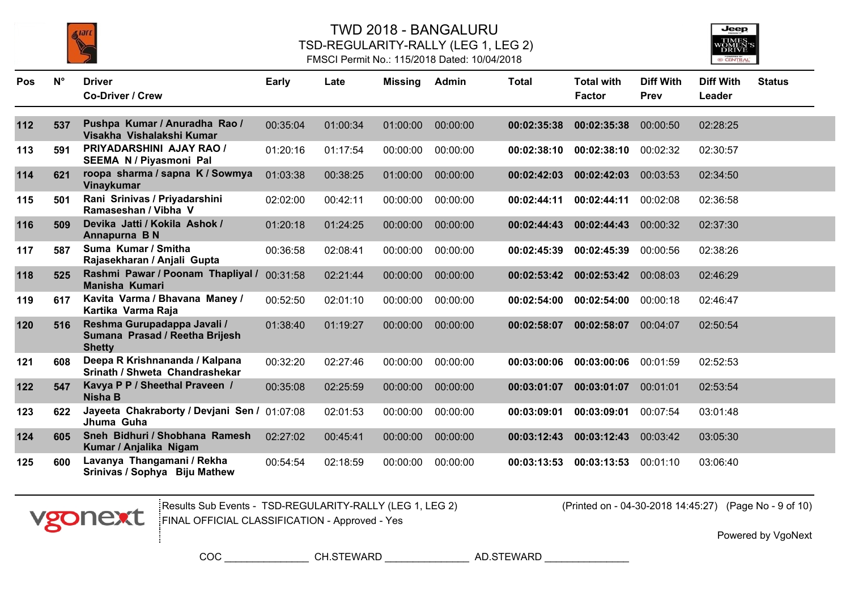





| Pos | $N^{\circ}$ | <b>Driver</b><br><b>Co-Driver / Crew</b>                                       | <b>Early</b> | Late     | <b>Missing</b> | Admin    | <b>Total</b> | <b>Total with</b><br><b>Factor</b> | <b>Diff With</b><br><b>Prev</b> | <b>Diff With</b><br>Leader | <b>Status</b> |
|-----|-------------|--------------------------------------------------------------------------------|--------------|----------|----------------|----------|--------------|------------------------------------|---------------------------------|----------------------------|---------------|
|     |             |                                                                                |              |          |                |          |              |                                    |                                 |                            |               |
| 112 | 537         | Pushpa Kumar / Anuradha Rao /<br>Visakha Vishalakshi Kumar                     | 00:35:04     | 01:00:34 | 01:00:00       | 00:00:00 | 00:02:35:38  | 00:02:35:38                        | 00:00:50                        | 02:28:25                   |               |
| 113 | 591         | PRIYADARSHINI AJAY RAO /<br>SEEMA N / Piyasmoni Pal                            | 01:20:16     | 01:17:54 | 00:00:00       | 00:00:00 | 00:02:38:10  | 00:02:38:10                        | 00:02:32                        | 02:30:57                   |               |
| 114 | 621         | roopa sharma / sapna K / Sowmya<br>Vinaykumar                                  | 01:03:38     | 00:38:25 | 01:00:00       | 00:00:00 | 00:02:42:03  | 00:02:42:03                        | 00:03:53                        | 02:34:50                   |               |
| 115 | 501         | Rani Srinivas / Priyadarshini<br>Ramaseshan / Vibha V                          | 02:02:00     | 00:42:11 | 00:00:00       | 00:00:00 | 00:02:44:11  | 00:02:44:11                        | 00:02:08                        | 02:36:58                   |               |
| 116 | 509         | Devika Jatti / Kokila Ashok /<br>Annapurna B N                                 | 01:20:18     | 01:24:25 | 00:00:00       | 00:00:00 | 00:02:44:43  | 00:02:44:43                        | 00:00:32                        | 02:37:30                   |               |
| 117 | 587         | Suma Kumar / Smitha<br>Rajasekharan / Anjali Gupta                             | 00:36:58     | 02:08:41 | 00:00:00       | 00:00:00 | 00:02:45:39  | 00:02:45:39                        | 00:00:56                        | 02:38:26                   |               |
| 118 | 525         | Rashmi Pawar / Poonam Thapliyal /<br><b>Manisha Kumari</b>                     | 00:31:58     | 02:21:44 | 00:00:00       | 00:00:00 | 00:02:53:42  | 00:02:53:42                        | 00:08:03                        | 02:46:29                   |               |
| 119 | 617         | Kavita Varma / Bhavana Maney /<br>Kartika Varma Raja                           | 00:52:50     | 02:01:10 | 00:00:00       | 00:00:00 | 00:02:54:00  | 00:02:54:00                        | 00:00:18                        | 02:46:47                   |               |
| 120 | 516         | Reshma Gurupadappa Javali /<br>Sumana Prasad / Reetha Brijesh<br><b>Shetty</b> | 01:38:40     | 01:19:27 | 00:00:00       | 00:00:00 | 00:02:58:07  | 00:02:58:07                        | 00:04:07                        | 02:50:54                   |               |
| 121 | 608         | Deepa R Krishnananda / Kalpana<br>Srinath / Shweta Chandrashekar               | 00:32:20     | 02:27:46 | 00:00:00       | 00:00:00 | 00:03:00:06  | 00:03:00:06                        | 00:01:59                        | 02:52:53                   |               |
| 122 | 547         | Kavya P P / Sheethal Praveen /<br><b>Nisha B</b>                               | 00:35:08     | 02:25:59 | 00:00:00       | 00:00:00 | 00:03:01:07  | 00:03:01:07                        | 00:01:01                        | 02:53:54                   |               |
| 123 | 622         | Jayeeta Chakraborty / Devjani Sen / 01:07:08<br>Jhuma Guha                     |              | 02:01:53 | 00:00:00       | 00:00:00 | 00:03:09:01  | 00:03:09:01                        | 00:07:54                        | 03:01:48                   |               |
| 124 | 605         | Sneh Bidhuri / Shobhana Ramesh<br>Kumar / Anjalika Nigam                       | 02:27:02     | 00:45:41 | 00:00:00       | 00:00:00 | 00:03:12:43  | 00:03:12:43                        | 00:03:42                        | 03:05:30                   |               |
| 125 | 600         | Lavanya Thangamani / Rekha<br>Srinivas / Sophya Biju Mathew                    | 00:54:54     | 02:18:59 | 00:00:00       | 00:00:00 | 00:03:13:53  | 00:03:13:53                        | 00:01:10                        | 03:06:40                   |               |



Results Sub Events - TSD-REGULARITY-RALLY (LEG 1, LEG 2) (Printed on - 04-30-2018 14:45:27) FINAL OFFICIAL CLASSIFICATION - Approved - Yes

(Printed on - 04-30-2018 14:45:27) (Page No - 9 of 10)

Powered by VgoNext